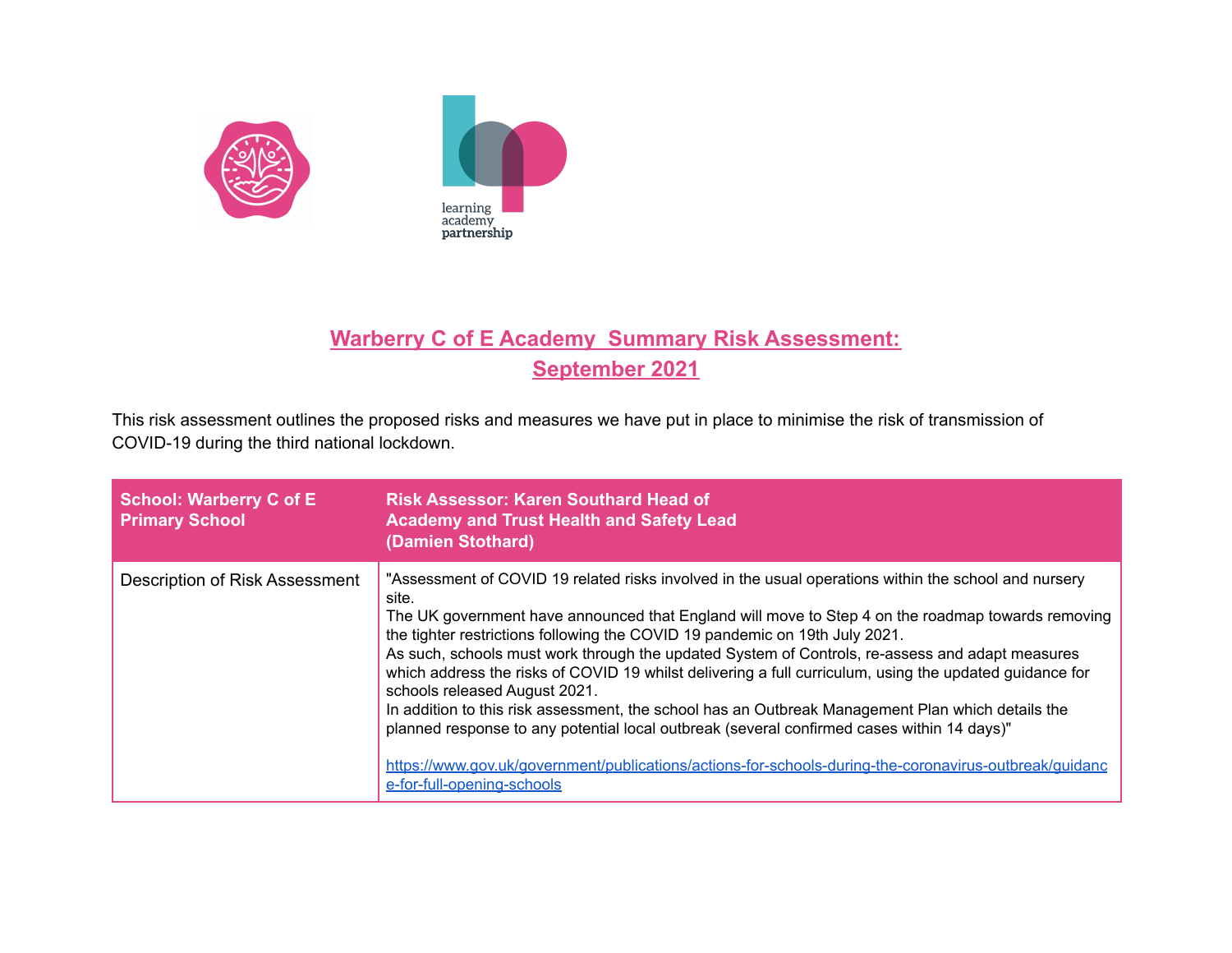



## **Warberry C of E Academy Summary Risk Assessment: September 2021**

This risk assessment outlines the proposed risks and measures we have put in place to minimise the risk of transmission of COVID-19 during the third national lockdown.

| <b>School: Warberry C of E</b><br><b>Primary School</b> | <b>Risk Assessor: Karen Southard Head of</b><br><b>Academy and Trust Health and Safety Lead</b><br>(Damien Stothard)                                                                                                                                                                                                                                                                                                                                                                                                                                                                                                                                                                                                                                                                                                                                                                        |
|---------------------------------------------------------|---------------------------------------------------------------------------------------------------------------------------------------------------------------------------------------------------------------------------------------------------------------------------------------------------------------------------------------------------------------------------------------------------------------------------------------------------------------------------------------------------------------------------------------------------------------------------------------------------------------------------------------------------------------------------------------------------------------------------------------------------------------------------------------------------------------------------------------------------------------------------------------------|
| Description of Risk Assessment                          | "Assessment of COVID 19 related risks involved in the usual operations within the school and nursery<br>site.<br>The UK government have announced that England will move to Step 4 on the roadmap towards removing<br>the tighter restrictions following the COVID 19 pandemic on 19th July 2021.<br>As such, schools must work through the updated System of Controls, re-assess and adapt measures<br>which address the risks of COVID 19 whilst delivering a full curriculum, using the updated guidance for<br>schools released August 2021.<br>In addition to this risk assessment, the school has an Outbreak Management Plan which details the<br>planned response to any potential local outbreak (several confirmed cases within 14 days)"<br>https://www.gov.uk/government/publications/actions-for-schools-during-the-coronavirus-outbreak/guidanc<br>e-for-full-opening-schools |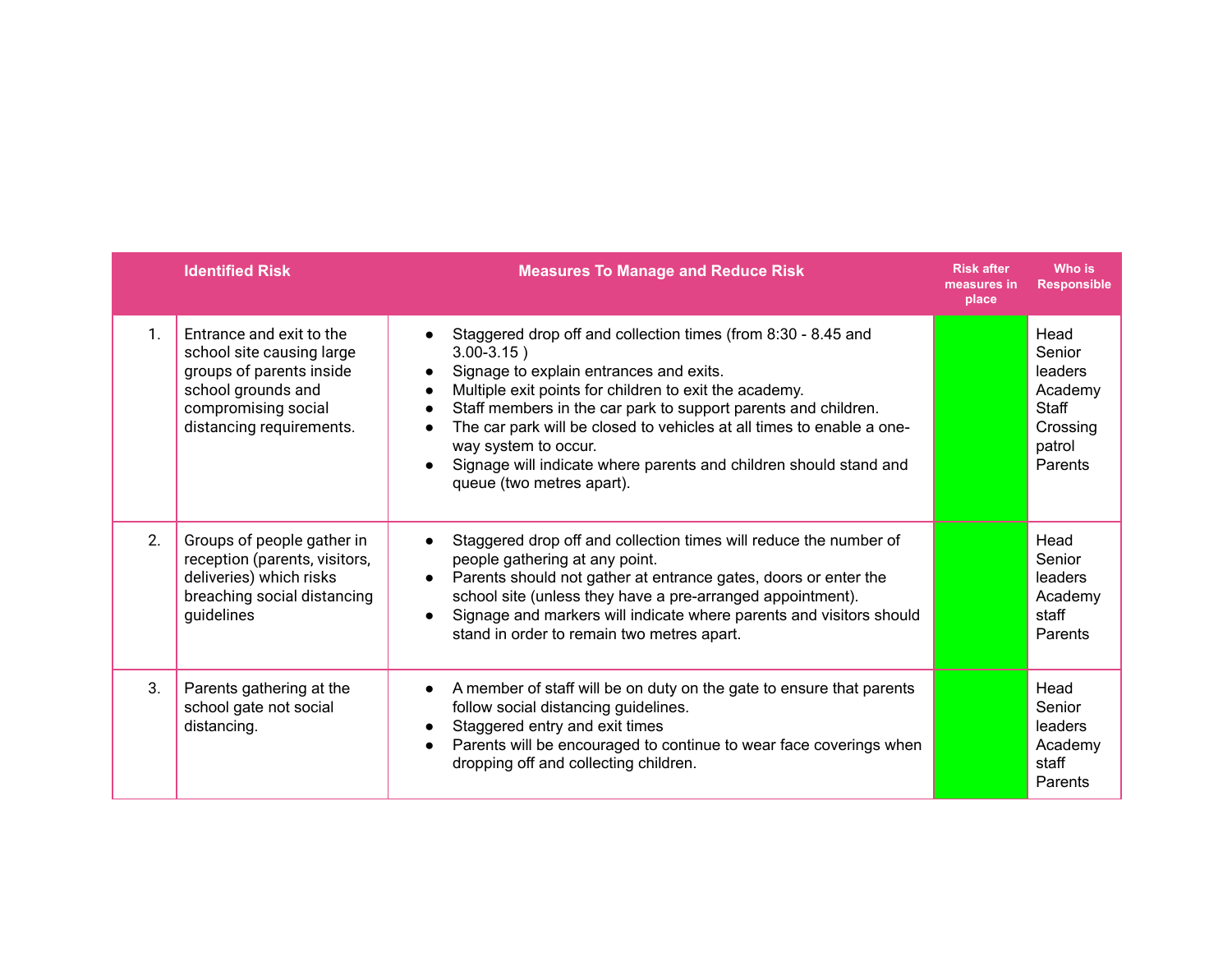|               | <b>Identified Risk</b>                                                                                                                                     | <b>Measures To Manage and Reduce Risk</b>                                                                                                                                                                                                                                                                                                                                                                                                                                                                                                | <b>Risk after</b><br>measures in<br>place | Who is<br><b>Responsible</b>                                                   |
|---------------|------------------------------------------------------------------------------------------------------------------------------------------------------------|------------------------------------------------------------------------------------------------------------------------------------------------------------------------------------------------------------------------------------------------------------------------------------------------------------------------------------------------------------------------------------------------------------------------------------------------------------------------------------------------------------------------------------------|-------------------------------------------|--------------------------------------------------------------------------------|
| $\mathbf{1}$  | Entrance and exit to the<br>school site causing large<br>groups of parents inside<br>school grounds and<br>compromising social<br>distancing requirements. | Staggered drop off and collection times (from 8:30 - 8.45 and<br>$\bullet$<br>$3.00 - 3.15$ )<br>Signage to explain entrances and exits.<br>$\bullet$<br>Multiple exit points for children to exit the academy.<br>$\bullet$<br>Staff members in the car park to support parents and children.<br>$\bullet$<br>The car park will be closed to vehicles at all times to enable a one-<br>$\bullet$<br>way system to occur.<br>Signage will indicate where parents and children should stand and<br>$\bullet$<br>queue (two metres apart). |                                           | Head<br>Senior<br>leaders<br>Academy<br>Staff<br>Crossing<br>patrol<br>Parents |
| $\mathcal{P}$ | Groups of people gather in<br>reception (parents, visitors,<br>deliveries) which risks<br>breaching social distancing<br>guidelines                        | Staggered drop off and collection times will reduce the number of<br>$\bullet$<br>people gathering at any point.<br>Parents should not gather at entrance gates, doors or enter the<br>$\bullet$<br>school site (unless they have a pre-arranged appointment).<br>Signage and markers will indicate where parents and visitors should<br>$\bullet$<br>stand in order to remain two metres apart.                                                                                                                                         |                                           | Head<br>Senior<br>leaders<br>Academy<br>staff<br>Parents                       |
| 3.            | Parents gathering at the<br>school gate not social<br>distancing.                                                                                          | A member of staff will be on duty on the gate to ensure that parents<br>$\bullet$<br>follow social distancing guidelines.<br>Staggered entry and exit times<br>$\bullet$<br>Parents will be encouraged to continue to wear face coverings when<br>$\bullet$<br>dropping off and collecting children.                                                                                                                                                                                                                                     |                                           | Head<br>Senior<br>leaders<br>Academy<br>staff<br>Parents                       |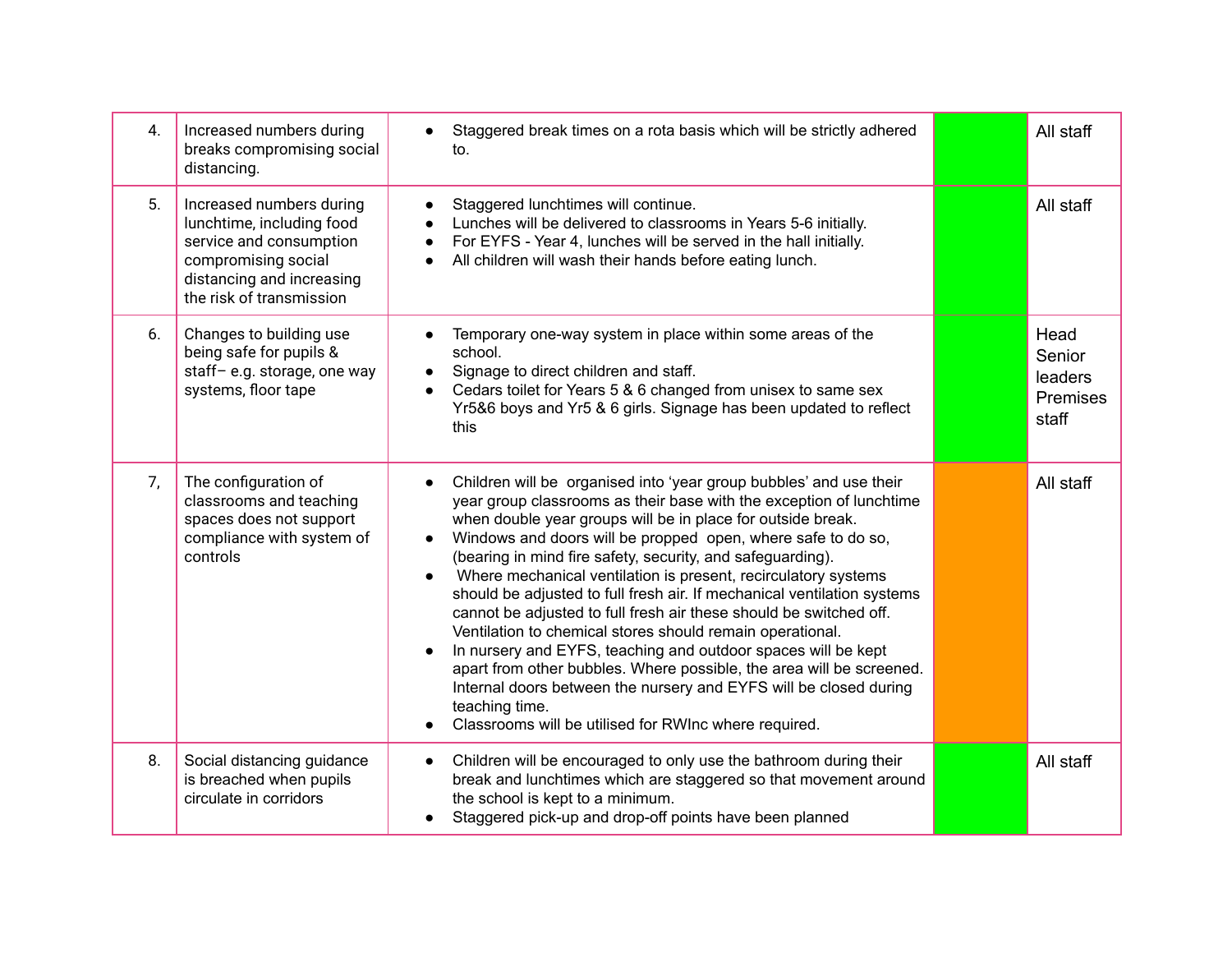| 4. | Increased numbers during<br>breaks compromising social<br>distancing.                                                                                            | Staggered break times on a rota basis which will be strictly adhered<br>to.                                                                                                                                                                                                                                                                                                                                                                                                                                                                                                                                                                                                                                                                                                                                                                                                                                                                            | All staff                                      |
|----|------------------------------------------------------------------------------------------------------------------------------------------------------------------|--------------------------------------------------------------------------------------------------------------------------------------------------------------------------------------------------------------------------------------------------------------------------------------------------------------------------------------------------------------------------------------------------------------------------------------------------------------------------------------------------------------------------------------------------------------------------------------------------------------------------------------------------------------------------------------------------------------------------------------------------------------------------------------------------------------------------------------------------------------------------------------------------------------------------------------------------------|------------------------------------------------|
| 5. | Increased numbers during<br>lunchtime, including food<br>service and consumption<br>compromising social<br>distancing and increasing<br>the risk of transmission | Staggered lunchtimes will continue.<br>$\bullet$<br>Lunches will be delivered to classrooms in Years 5-6 initially.<br>$\bullet$<br>For EYFS - Year 4, lunches will be served in the hall initially.<br>$\bullet$<br>All children will wash their hands before eating lunch.<br>$\bullet$                                                                                                                                                                                                                                                                                                                                                                                                                                                                                                                                                                                                                                                              | All staff                                      |
| 6. | Changes to building use<br>being safe for pupils &<br>staff-e.g. storage, one way<br>systems, floor tape                                                         | Temporary one-way system in place within some areas of the<br>school.<br>Signage to direct children and staff.<br>$\bullet$<br>Cedars toilet for Years 5 & 6 changed from unisex to same sex<br>Yr5&6 boys and Yr5 & 6 girls. Signage has been updated to reflect<br>this                                                                                                                                                                                                                                                                                                                                                                                                                                                                                                                                                                                                                                                                              | Head<br>Senior<br>leaders<br>Premises<br>staff |
| 7, | The configuration of<br>classrooms and teaching<br>spaces does not support<br>compliance with system of<br>controls                                              | Children will be organised into 'year group bubbles' and use their<br>$\bullet$<br>year group classrooms as their base with the exception of lunchtime<br>when double year groups will be in place for outside break.<br>Windows and doors will be propped open, where safe to do so,<br>$\bullet$<br>(bearing in mind fire safety, security, and safeguarding).<br>Where mechanical ventilation is present, recirculatory systems<br>$\bullet$<br>should be adjusted to full fresh air. If mechanical ventilation systems<br>cannot be adjusted to full fresh air these should be switched off.<br>Ventilation to chemical stores should remain operational.<br>In nursery and EYFS, teaching and outdoor spaces will be kept<br>apart from other bubbles. Where possible, the area will be screened.<br>Internal doors between the nursery and EYFS will be closed during<br>teaching time.<br>Classrooms will be utilised for RWInc where required. | All staff                                      |
| 8. | Social distancing guidance<br>is breached when pupils<br>circulate in corridors                                                                                  | Children will be encouraged to only use the bathroom during their<br>$\bullet$<br>break and lunchtimes which are staggered so that movement around<br>the school is kept to a minimum.<br>Staggered pick-up and drop-off points have been planned                                                                                                                                                                                                                                                                                                                                                                                                                                                                                                                                                                                                                                                                                                      | All staff                                      |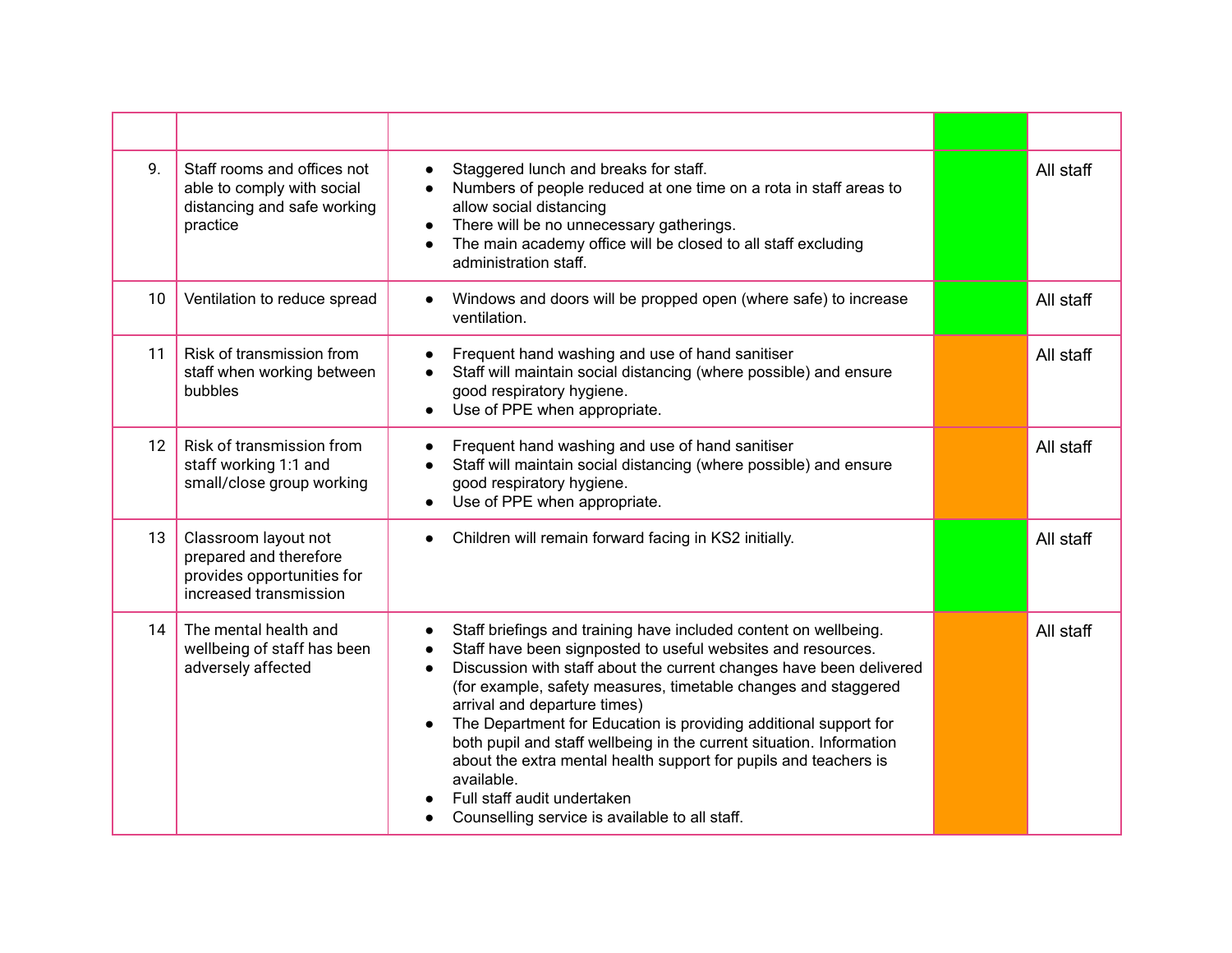| 9. | Staff rooms and offices not<br>able to comply with social<br>distancing and safe working<br>practice   | Staggered lunch and breaks for staff.<br>$\bullet$<br>Numbers of people reduced at one time on a rota in staff areas to<br>allow social distancing<br>There will be no unnecessary gatherings.<br>$\bullet$<br>The main academy office will be closed to all staff excluding<br>$\bullet$<br>administration staff.                                                                                                                                                                                                                                                                                                                                                           | All staff |
|----|--------------------------------------------------------------------------------------------------------|------------------------------------------------------------------------------------------------------------------------------------------------------------------------------------------------------------------------------------------------------------------------------------------------------------------------------------------------------------------------------------------------------------------------------------------------------------------------------------------------------------------------------------------------------------------------------------------------------------------------------------------------------------------------------|-----------|
| 10 | Ventilation to reduce spread                                                                           | Windows and doors will be propped open (where safe) to increase<br>$\bullet$<br>ventilation.                                                                                                                                                                                                                                                                                                                                                                                                                                                                                                                                                                                 | All staff |
| 11 | Risk of transmission from<br>staff when working between<br>bubbles                                     | Frequent hand washing and use of hand sanitiser<br>$\bullet$<br>Staff will maintain social distancing (where possible) and ensure<br>good respiratory hygiene.<br>Use of PPE when appropriate.<br>$\bullet$                                                                                                                                                                                                                                                                                                                                                                                                                                                                  | All staff |
| 12 | Risk of transmission from<br>staff working 1:1 and<br>small/close group working                        | Frequent hand washing and use of hand sanitiser<br>$\bullet$<br>Staff will maintain social distancing (where possible) and ensure<br>$\bullet$<br>good respiratory hygiene.<br>Use of PPE when appropriate.<br>$\bullet$                                                                                                                                                                                                                                                                                                                                                                                                                                                     | All staff |
| 13 | Classroom layout not<br>prepared and therefore<br>provides opportunities for<br>increased transmission | Children will remain forward facing in KS2 initially.<br>$\bullet$                                                                                                                                                                                                                                                                                                                                                                                                                                                                                                                                                                                                           | All staff |
| 14 | The mental health and<br>wellbeing of staff has been<br>adversely affected                             | Staff briefings and training have included content on wellbeing.<br>$\bullet$<br>Staff have been signposted to useful websites and resources.<br>$\bullet$<br>Discussion with staff about the current changes have been delivered<br>$\bullet$<br>(for example, safety measures, timetable changes and staggered<br>arrival and departure times)<br>The Department for Education is providing additional support for<br>$\bullet$<br>both pupil and staff wellbeing in the current situation. Information<br>about the extra mental health support for pupils and teachers is<br>available.<br>Full staff audit undertaken<br>Counselling service is available to all staff. | All staff |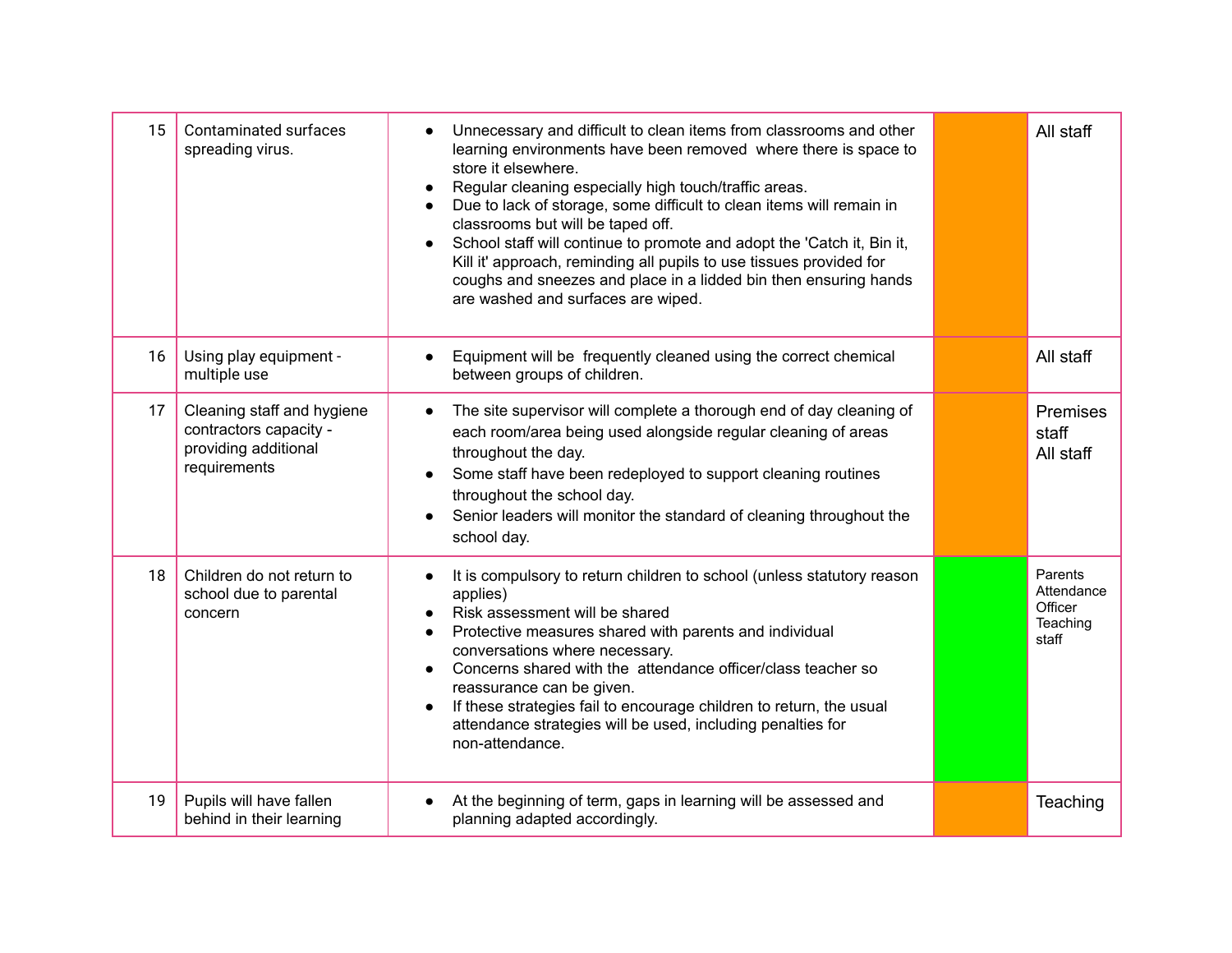| 15 | <b>Contaminated surfaces</b><br>spreading virus.                                             | Unnecessary and difficult to clean items from classrooms and other<br>learning environments have been removed where there is space to<br>store it elsewhere.<br>Regular cleaning especially high touch/traffic areas.<br>$\bullet$<br>Due to lack of storage, some difficult to clean items will remain in<br>$\bullet$<br>classrooms but will be taped off.<br>School staff will continue to promote and adopt the 'Catch it, Bin it,<br>$\bullet$<br>Kill it' approach, reminding all pupils to use tissues provided for<br>coughs and sneezes and place in a lidded bin then ensuring hands<br>are washed and surfaces are wiped. | All staff                                             |
|----|----------------------------------------------------------------------------------------------|--------------------------------------------------------------------------------------------------------------------------------------------------------------------------------------------------------------------------------------------------------------------------------------------------------------------------------------------------------------------------------------------------------------------------------------------------------------------------------------------------------------------------------------------------------------------------------------------------------------------------------------|-------------------------------------------------------|
| 16 | Using play equipment -<br>multiple use                                                       | Equipment will be frequently cleaned using the correct chemical<br>$\bullet$<br>between groups of children.                                                                                                                                                                                                                                                                                                                                                                                                                                                                                                                          | All staff                                             |
| 17 | Cleaning staff and hygiene<br>contractors capacity -<br>providing additional<br>requirements | The site supervisor will complete a thorough end of day cleaning of<br>each room/area being used alongside regular cleaning of areas<br>throughout the day.<br>Some staff have been redeployed to support cleaning routines<br>$\bullet$<br>throughout the school day.<br>Senior leaders will monitor the standard of cleaning throughout the<br>school day.                                                                                                                                                                                                                                                                         | Premises<br>staff<br>All staff                        |
| 18 | Children do not return to<br>school due to parental<br>concern                               | It is compulsory to return children to school (unless statutory reason<br>$\bullet$<br>applies)<br>Risk assessment will be shared<br>$\bullet$<br>Protective measures shared with parents and individual<br>$\bullet$<br>conversations where necessary.<br>Concerns shared with the attendance officer/class teacher so<br>$\bullet$<br>reassurance can be given.<br>If these strategies fail to encourage children to return, the usual<br>$\bullet$<br>attendance strategies will be used, including penalties for<br>non-attendance.                                                                                              | Parents<br>Attendance<br>Officer<br>Teaching<br>staff |
| 19 | Pupils will have fallen<br>behind in their learning                                          | At the beginning of term, gaps in learning will be assessed and<br>$\bullet$<br>planning adapted accordingly.                                                                                                                                                                                                                                                                                                                                                                                                                                                                                                                        | Teaching                                              |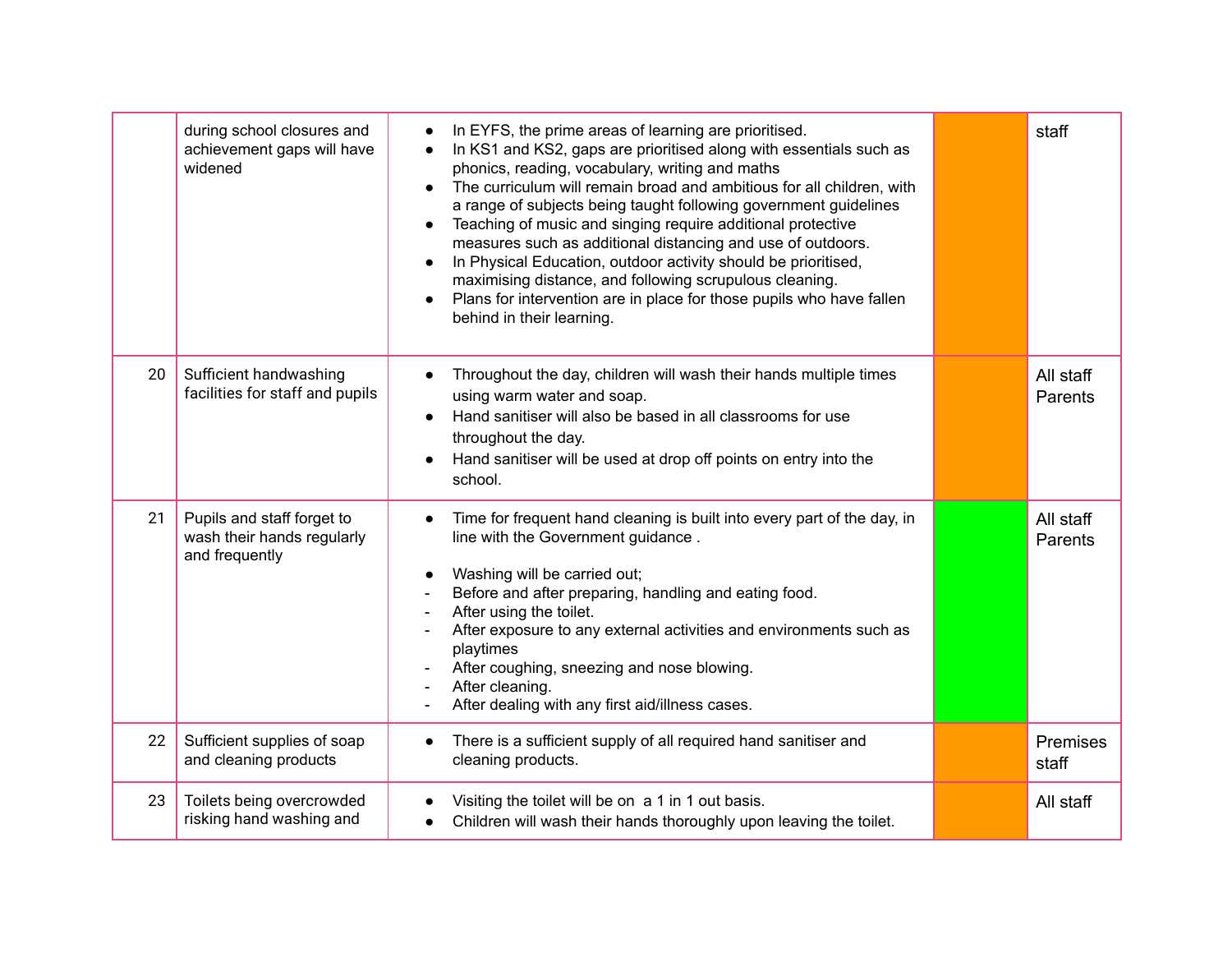|    | during school closures and<br>achievement gaps will have<br>widened        | In EYFS, the prime areas of learning are prioritised.<br>$\bullet$<br>In KS1 and KS2, gaps are prioritised along with essentials such as<br>phonics, reading, vocabulary, writing and maths<br>The curriculum will remain broad and ambitious for all children, with<br>$\bullet$<br>a range of subjects being taught following government guidelines<br>Teaching of music and singing require additional protective<br>$\bullet$<br>measures such as additional distancing and use of outdoors.<br>In Physical Education, outdoor activity should be prioritised,<br>$\bullet$<br>maximising distance, and following scrupulous cleaning.<br>Plans for intervention are in place for those pupils who have fallen<br>$\bullet$<br>behind in their learning. | staff                |
|----|----------------------------------------------------------------------------|--------------------------------------------------------------------------------------------------------------------------------------------------------------------------------------------------------------------------------------------------------------------------------------------------------------------------------------------------------------------------------------------------------------------------------------------------------------------------------------------------------------------------------------------------------------------------------------------------------------------------------------------------------------------------------------------------------------------------------------------------------------|----------------------|
| 20 | Sufficient handwashing<br>facilities for staff and pupils                  | Throughout the day, children will wash their hands multiple times<br>$\bullet$<br>using warm water and soap.<br>Hand sanitiser will also be based in all classrooms for use<br>$\bullet$<br>throughout the day.<br>Hand sanitiser will be used at drop off points on entry into the<br>school.                                                                                                                                                                                                                                                                                                                                                                                                                                                               | All staff<br>Parents |
| 21 | Pupils and staff forget to<br>wash their hands regularly<br>and frequently | Time for frequent hand cleaning is built into every part of the day, in<br>$\bullet$<br>line with the Government guidance.<br>Washing will be carried out;<br>$\bullet$<br>Before and after preparing, handling and eating food.<br>After using the toilet.<br>After exposure to any external activities and environments such as<br>playtimes<br>After coughing, sneezing and nose blowing.<br>After cleaning.<br>After dealing with any first aid/illness cases.                                                                                                                                                                                                                                                                                           | All staff<br>Parents |
| 22 | Sufficient supplies of soap<br>and cleaning products                       | There is a sufficient supply of all required hand sanitiser and<br>$\bullet$<br>cleaning products.                                                                                                                                                                                                                                                                                                                                                                                                                                                                                                                                                                                                                                                           | Premises<br>staff    |
| 23 | Toilets being overcrowded<br>risking hand washing and                      | Visiting the toilet will be on a 1 in 1 out basis.<br>Children will wash their hands thoroughly upon leaving the toilet.                                                                                                                                                                                                                                                                                                                                                                                                                                                                                                                                                                                                                                     | All staff            |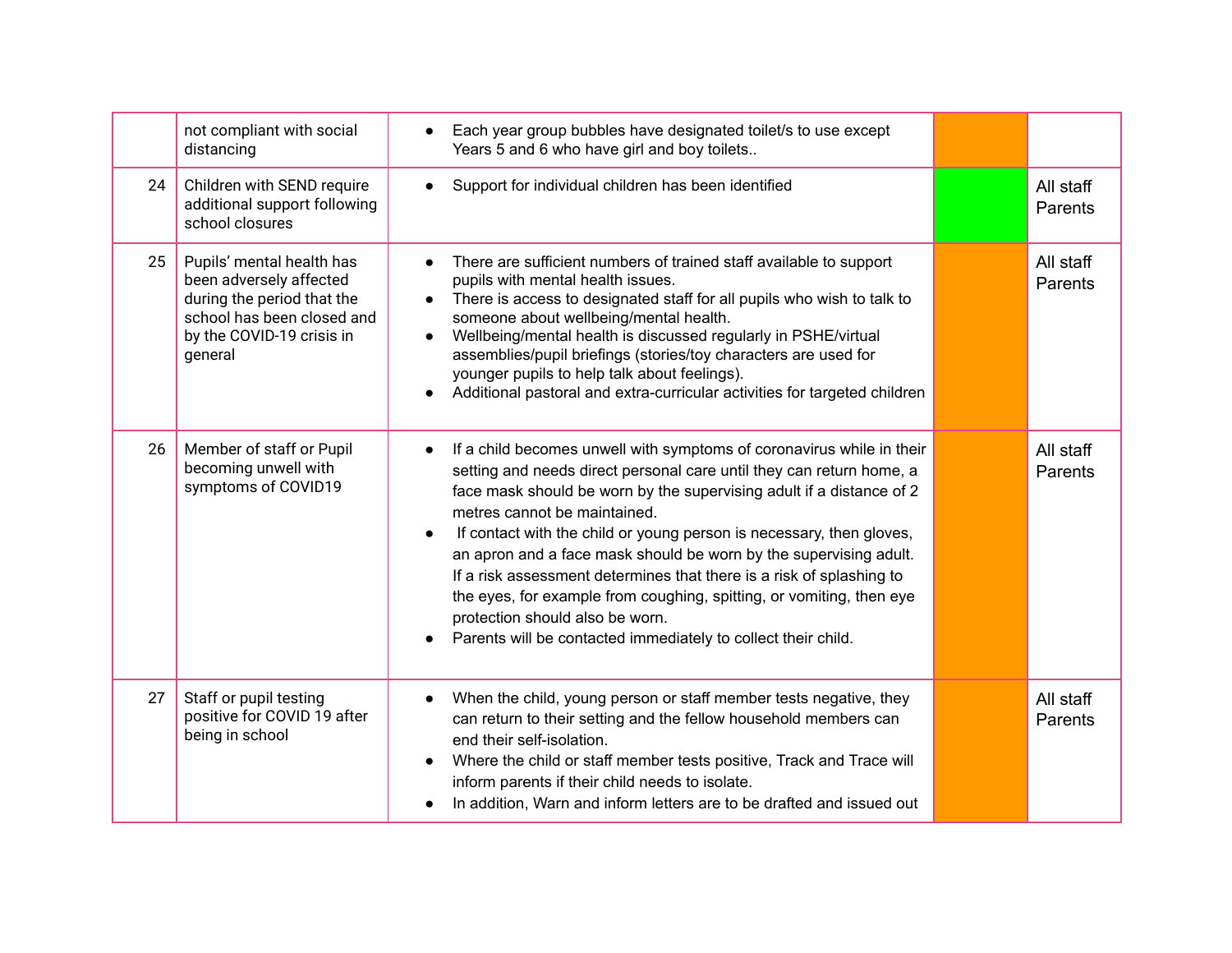|    | not compliant with social<br>distancing                                                                                                                  | Each year group bubbles have designated toilet/s to use except<br>Years 5 and 6 who have girl and boy toilets                                                                                                                                                                                                                                                                                                                                                                                                                                                                                                                                                                    |                      |
|----|----------------------------------------------------------------------------------------------------------------------------------------------------------|----------------------------------------------------------------------------------------------------------------------------------------------------------------------------------------------------------------------------------------------------------------------------------------------------------------------------------------------------------------------------------------------------------------------------------------------------------------------------------------------------------------------------------------------------------------------------------------------------------------------------------------------------------------------------------|----------------------|
| 24 | Children with SEND require<br>additional support following<br>school closures                                                                            | Support for individual children has been identified                                                                                                                                                                                                                                                                                                                                                                                                                                                                                                                                                                                                                              | All staff<br>Parents |
| 25 | Pupils' mental health has<br>been adversely affected<br>during the period that the<br>school has been closed and<br>by the COVID-19 crisis in<br>general | There are sufficient numbers of trained staff available to support<br>$\bullet$<br>pupils with mental health issues.<br>There is access to designated staff for all pupils who wish to talk to<br>$\bullet$<br>someone about wellbeing/mental health.<br>Wellbeing/mental health is discussed regularly in PSHE/virtual<br>$\bullet$<br>assemblies/pupil briefings (stories/toy characters are used for<br>younger pupils to help talk about feelings).<br>Additional pastoral and extra-curricular activities for targeted children                                                                                                                                             | All staff<br>Parents |
| 26 | Member of staff or Pupil<br>becoming unwell with<br>symptoms of COVID19                                                                                  | If a child becomes unwell with symptoms of coronavirus while in their<br>$\bullet$<br>setting and needs direct personal care until they can return home, a<br>face mask should be worn by the supervising adult if a distance of 2<br>metres cannot be maintained.<br>If contact with the child or young person is necessary, then gloves,<br>$\bullet$<br>an apron and a face mask should be worn by the supervising adult.<br>If a risk assessment determines that there is a risk of splashing to<br>the eyes, for example from coughing, spitting, or vomiting, then eye<br>protection should also be worn.<br>Parents will be contacted immediately to collect their child. | All staff<br>Parents |
| 27 | Staff or pupil testing<br>positive for COVID 19 after<br>being in school                                                                                 | When the child, young person or staff member tests negative, they<br>$\bullet$<br>can return to their setting and the fellow household members can<br>end their self-isolation.<br>Where the child or staff member tests positive, Track and Trace will<br>$\bullet$<br>inform parents if their child needs to isolate.<br>In addition, Warn and inform letters are to be drafted and issued out                                                                                                                                                                                                                                                                                 | All staff<br>Parents |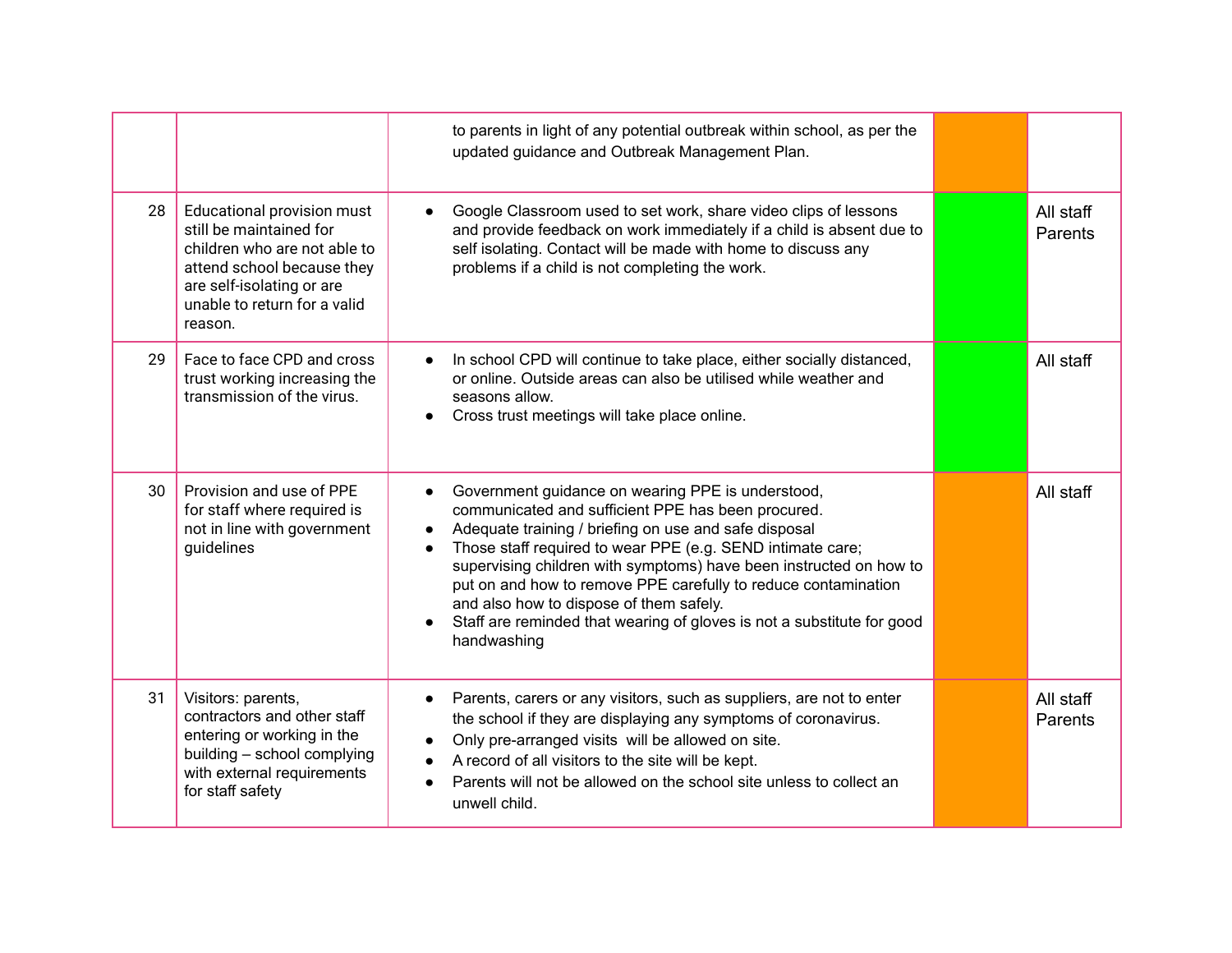|    |                                                                                                                                                                                             | to parents in light of any potential outbreak within school, as per the<br>updated guidance and Outbreak Management Plan.                                                                                                                                                                                                                                                                                                                                                                                                                                      |                      |
|----|---------------------------------------------------------------------------------------------------------------------------------------------------------------------------------------------|----------------------------------------------------------------------------------------------------------------------------------------------------------------------------------------------------------------------------------------------------------------------------------------------------------------------------------------------------------------------------------------------------------------------------------------------------------------------------------------------------------------------------------------------------------------|----------------------|
| 28 | Educational provision must<br>still be maintained for<br>children who are not able to<br>attend school because they<br>are self-isolating or are<br>unable to return for a valid<br>reason. | Google Classroom used to set work, share video clips of lessons<br>$\bullet$<br>and provide feedback on work immediately if a child is absent due to<br>self isolating. Contact will be made with home to discuss any<br>problems if a child is not completing the work.                                                                                                                                                                                                                                                                                       | All staff<br>Parents |
| 29 | Face to face CPD and cross<br>trust working increasing the<br>transmission of the virus.                                                                                                    | In school CPD will continue to take place, either socially distanced,<br>or online. Outside areas can also be utilised while weather and<br>seasons allow.<br>Cross trust meetings will take place online.                                                                                                                                                                                                                                                                                                                                                     | All staff            |
| 30 | Provision and use of PPE<br>for staff where required is<br>not in line with government<br>guidelines                                                                                        | Government guidance on wearing PPE is understood,<br>$\bullet$<br>communicated and sufficient PPE has been procured.<br>Adequate training / briefing on use and safe disposal<br>$\bullet$<br>Those staff required to wear PPE (e.g. SEND intimate care;<br>$\bullet$<br>supervising children with symptoms) have been instructed on how to<br>put on and how to remove PPE carefully to reduce contamination<br>and also how to dispose of them safely.<br>Staff are reminded that wearing of gloves is not a substitute for good<br>$\bullet$<br>handwashing | All staff            |
| 31 | Visitors: parents,<br>contractors and other staff<br>entering or working in the<br>building - school complying<br>with external requirements<br>for staff safety                            | Parents, carers or any visitors, such as suppliers, are not to enter<br>$\bullet$<br>the school if they are displaying any symptoms of coronavirus.<br>Only pre-arranged visits will be allowed on site.<br>A record of all visitors to the site will be kept.<br>$\bullet$<br>Parents will not be allowed on the school site unless to collect an<br>unwell child.                                                                                                                                                                                            | All staff<br>Parents |